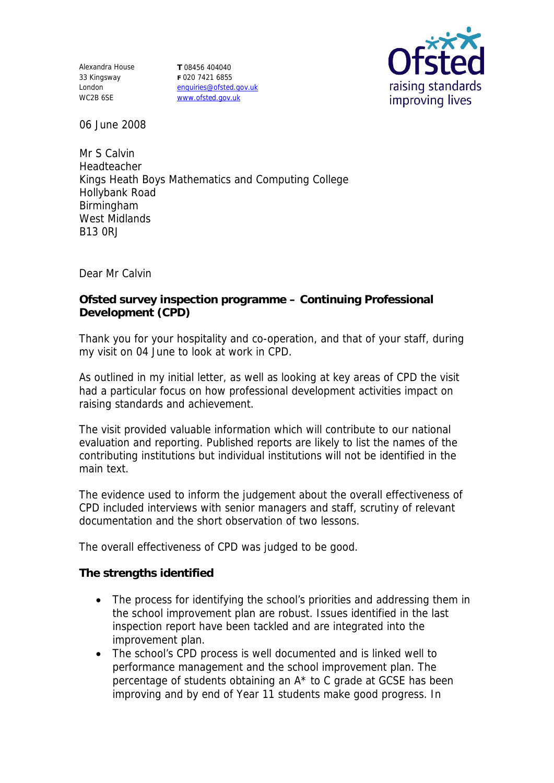Alexandra House 33 Kingsway London WC2B 6SE

**T** 08456 404040 **F** 020 7421 6855 enquiries@ofsted.gov.uk www.ofsted.gov.uk



06 June 2008

Mr S Calvin Headteacher Kings Heath Boys Mathematics and Computing College Hollybank Road Birmingham West Midlands B13 0RJ

Dear Mr Calvin

**Ofsted survey inspection programme – Continuing Professional Development (CPD)**

Thank you for your hospitality and co-operation, and that of your staff, during my visit on 04 June to look at work in CPD.

As outlined in my initial letter, as well as looking at key areas of CPD the visit had a particular focus on how professional development activities impact on raising standards and achievement.

The visit provided valuable information which will contribute to our national evaluation and reporting. Published reports are likely to list the names of the contributing institutions but individual institutions will not be identified in the main text.

The evidence used to inform the judgement about the overall effectiveness of CPD included interviews with senior managers and staff, scrutiny of relevant documentation and the short observation of two lessons.

The overall effectiveness of CPD was judged to be good.

**The strengths identified**

- The process for identifying the school's priorities and addressing them in the school improvement plan are robust. Issues identified in the last inspection report have been tackled and are integrated into the improvement plan.
- The school's CPD process is well documented and is linked well to performance management and the school improvement plan. The percentage of students obtaining an A\* to C grade at GCSE has been improving and by end of Year 11 students make good progress. In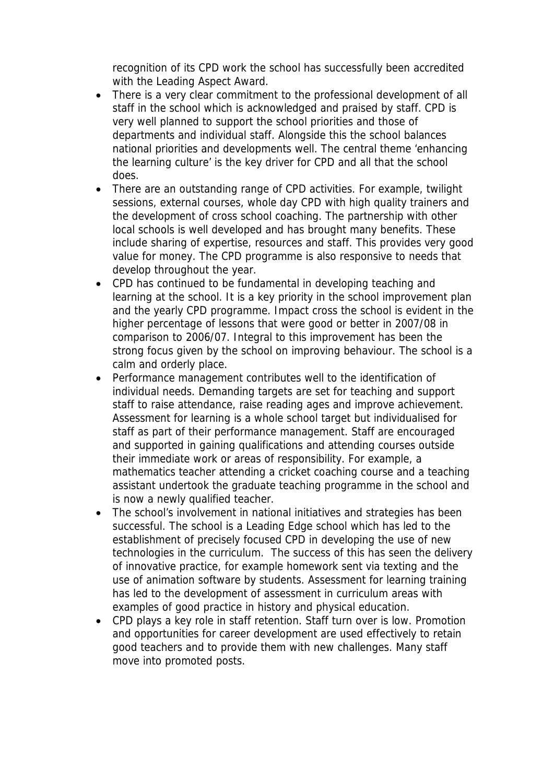recognition of its CPD work the school has successfully been accredited with the Leading Aspect Award.

- There is a very clear commitment to the professional development of all staff in the school which is acknowledged and praised by staff. CPD is very well planned to support the school priorities and those of departments and individual staff. Alongside this the school balances national priorities and developments well. The central theme 'enhancing the learning culture' is the key driver for CPD and all that the school does.
- There are an outstanding range of CPD activities. For example, twilight sessions, external courses, whole day CPD with high quality trainers and the development of cross school coaching. The partnership with other local schools is well developed and has brought many benefits. These include sharing of expertise, resources and staff. This provides very good value for money. The CPD programme is also responsive to needs that develop throughout the year.
- CPD has continued to be fundamental in developing teaching and learning at the school. It is a key priority in the school improvement plan and the yearly CPD programme. Impact cross the school is evident in the higher percentage of lessons that were good or better in 2007/08 in comparison to 2006/07. Integral to this improvement has been the strong focus given by the school on improving behaviour. The school is a calm and orderly place.
- Performance management contributes well to the identification of individual needs. Demanding targets are set for teaching and support staff to raise attendance, raise reading ages and improve achievement. Assessment for learning is a whole school target but individualised for staff as part of their performance management. Staff are encouraged and supported in gaining qualifications and attending courses outside their immediate work or areas of responsibility. For example, a mathematics teacher attending a cricket coaching course and a teaching assistant undertook the graduate teaching programme in the school and is now a newly qualified teacher.
- The school's involvement in national initiatives and strategies has been successful. The school is a Leading Edge school which has led to the establishment of precisely focused CPD in developing the use of new technologies in the curriculum. The success of this has seen the delivery of innovative practice, for example homework sent via texting and the use of animation software by students. Assessment for learning training has led to the development of assessment in curriculum areas with examples of good practice in history and physical education.
- CPD plays a key role in staff retention. Staff turn over is low. Promotion and opportunities for career development are used effectively to retain good teachers and to provide them with new challenges. Many staff move into promoted posts.